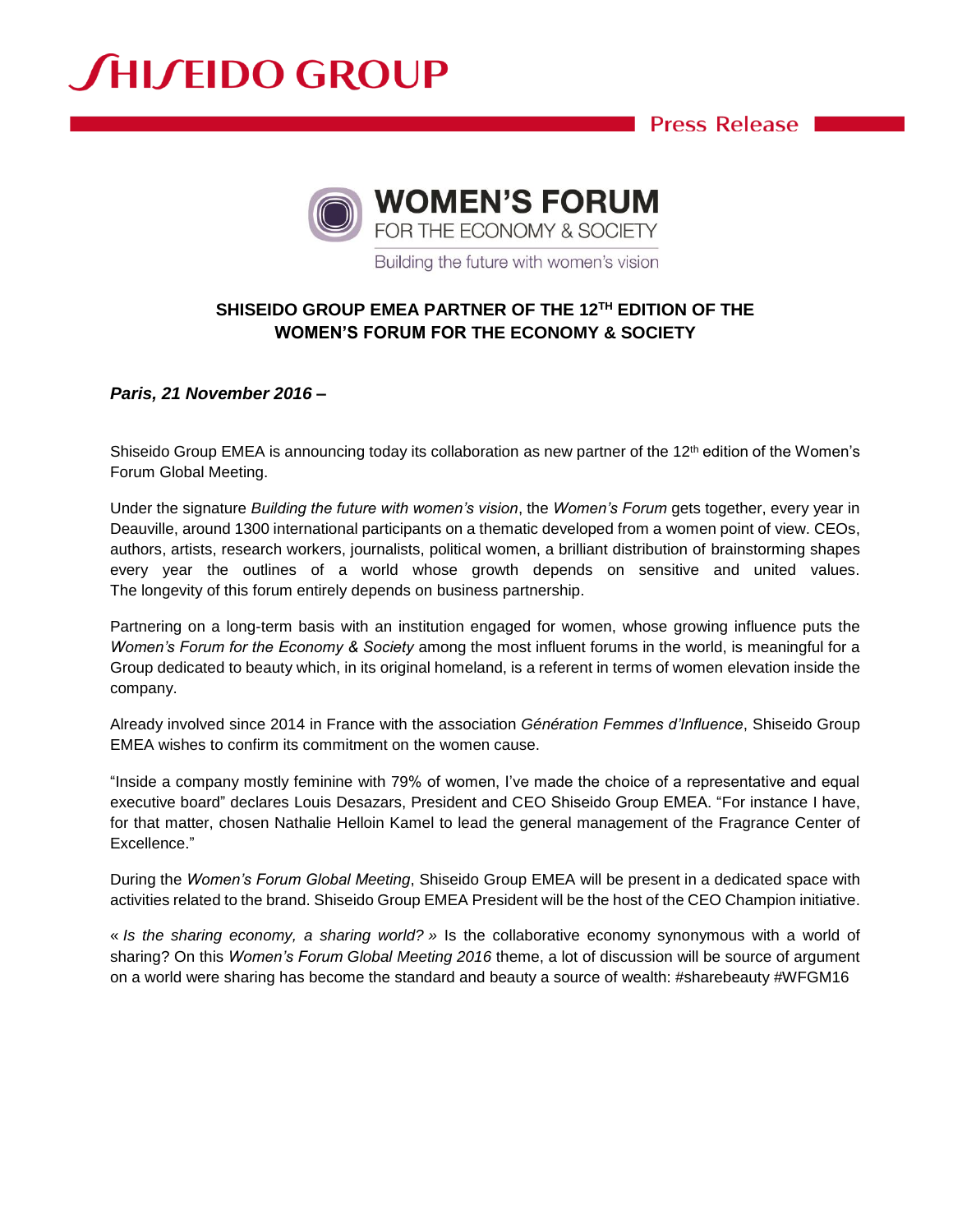## **SHISEIDO GROUP**

**Example 20 Press Release** 



Building the future with women's vision

### **SHISEIDO GROUP EMEA PARTNER OF THE 12TH EDITION OF THE WOMEN'S FORUM FOR THE ECONOMY & SOCIETY**

*Paris, 21 November 2016 –*

Shiseido Group EMEA is announcing today its collaboration as new partner of the 12<sup>th</sup> edition of the Women's Forum Global Meeting.

Under the signature *Building the future with women's vision*, the *Women's Forum* gets together, every year in Deauville, around 1300 international participants on a thematic developed from a women point of view. CEOs, authors, artists, research workers, journalists, political women, a brilliant distribution of brainstorming shapes every year the outlines of a world whose growth depends on sensitive and united values. The longevity of this forum entirely depends on business partnership.

Partnering on a long-term basis with an institution engaged for women, whose growing influence puts the *Women's Forum for the Economy & Society* among the most influent forums in the world, is meaningful for a Group dedicated to beauty which, in its original homeland, is a referent in terms of women elevation inside the company.

Already involved since 2014 in France with the association *Génération Femmes d'Influence*, Shiseido Group EMEA wishes to confirm its commitment on the women cause.

"Inside a company mostly feminine with 79% of women, I've made the choice of a representative and equal executive board" declares Louis Desazars, President and CEO Shiseido Group EMEA. "For instance I have, for that matter, chosen Nathalie Helloin Kamel to lead the general management of the Fragrance Center of Excellence."

During the *Women's Forum Global Meeting*, Shiseido Group EMEA will be present in a dedicated space with activities related to the brand. Shiseido Group EMEA President will be the host of the CEO Champion initiative.

« *Is the sharing economy, a sharing world? »* Is the collaborative economy synonymous with a world of sharing? On this *Women's Forum Global Meeting 2016* theme, a lot of discussion will be source of argument on a world were sharing has become the standard and beauty a source of wealth: #sharebeauty #WFGM16